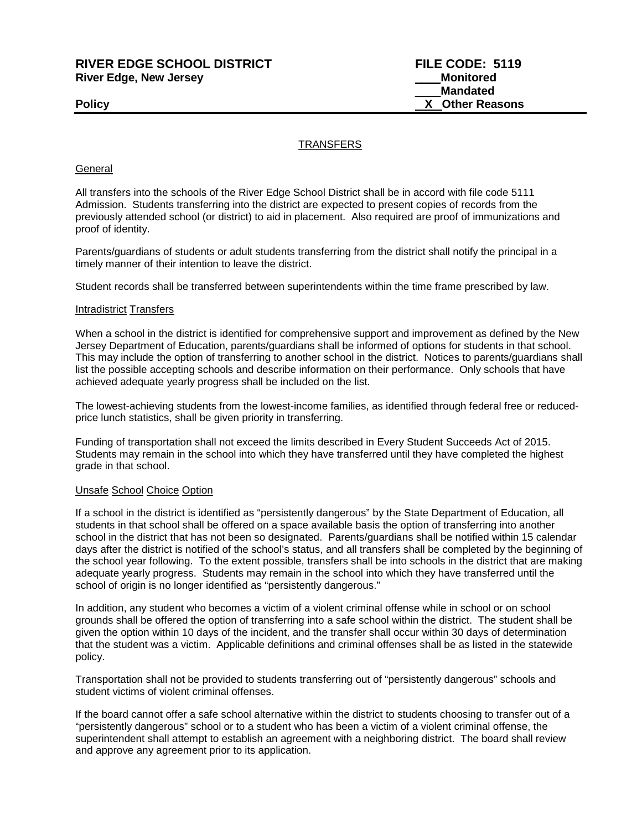# **RIVER EDGE SCHOOL DISTRICT FILE CODE: 5119 River Edge, New Jersey Department of the Contract of Texas Adventured Monitored**

\_\_\_\_**Mandated Policy X Other Reasons**

# **TRANSFERS**

#### **General**

All transfers into the schools of the River Edge School District shall be in accord with file code 5111 Admission. Students transferring into the district are expected to present copies of records from the previously attended school (or district) to aid in placement. Also required are proof of immunizations and proof of identity.

Parents/guardians of students or adult students transferring from the district shall notify the principal in a timely manner of their intention to leave the district.

Student records shall be transferred between superintendents within the time frame prescribed by law.

#### Intradistrict Transfers

When a school in the district is identified for comprehensive support and improvement as defined by the New Jersey Department of Education, parents/guardians shall be informed of options for students in that school. This may include the option of transferring to another school in the district. Notices to parents/guardians shall list the possible accepting schools and describe information on their performance. Only schools that have achieved adequate yearly progress shall be included on the list.

The lowest-achieving students from the lowest-income families, as identified through federal free or reducedprice lunch statistics, shall be given priority in transferring.

Funding of transportation shall not exceed the limits described in Every Student Succeeds Act of 2015. Students may remain in the school into which they have transferred until they have completed the highest grade in that school.

### Unsafe School Choice Option

If a school in the district is identified as "persistently dangerous" by the State Department of Education, all students in that school shall be offered on a space available basis the option of transferring into another school in the district that has not been so designated. Parents/guardians shall be notified within 15 calendar days after the district is notified of the school's status, and all transfers shall be completed by the beginning of the school year following. To the extent possible, transfers shall be into schools in the district that are making adequate yearly progress. Students may remain in the school into which they have transferred until the school of origin is no longer identified as "persistently dangerous."

In addition, any student who becomes a victim of a violent criminal offense while in school or on school grounds shall be offered the option of transferring into a safe school within the district. The student shall be given the option within 10 days of the incident, and the transfer shall occur within 30 days of determination that the student was a victim. Applicable definitions and criminal offenses shall be as listed in the statewide policy.

Transportation shall not be provided to students transferring out of "persistently dangerous" schools and student victims of violent criminal offenses.

If the board cannot offer a safe school alternative within the district to students choosing to transfer out of a "persistently dangerous" school or to a student who has been a victim of a violent criminal offense, the superintendent shall attempt to establish an agreement with a neighboring district. The board shall review and approve any agreement prior to its application.